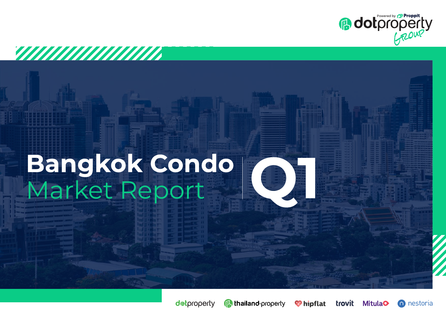

# Bangkok Condo<br>Market Report

*VIIIIIIIIIIIIIIIIII* 



<sup>*O* hipflat</sup>

**MitulaO**  $\cap$ 

trovit

nestoria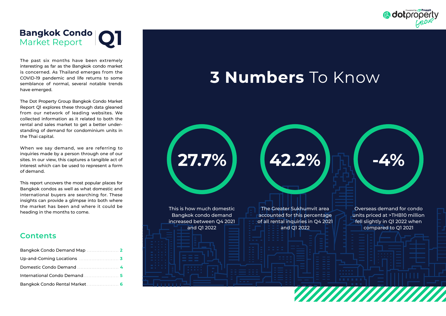

## **Bangkok Condo Q1**

The past six months have been extremely interesting as far as the Bangkok condo market is concerned. As Thailand emerges from the COVID-19 pandemic and life returns to some semblance of normal, several notable trends have emerged.

The Dot Property Group Bangkok Condo Market Report Q1 explores these through data gleaned from our network of leading websites. We collected information as it related to both the rental and sales market to get a better understanding of demand for condominium units in the Thai capital.

When we say demand, we are referring to inquiries made by a person through one of our sites. In our view, this captures a tangible act of interest which can be used to represent a form of demand.

This report uncovers the most popular places for Bangkok condos as well as what domestic and international buyers are searching for. These insights can provide a glimpse into both where the market has been and where it could be heading in the months to come.

## **Contents**

| Bangkok Condo Demand Map   |  |
|----------------------------|--|
|                            |  |
|                            |  |
| International Condo Demand |  |
|                            |  |

## **3 Numbers** To Know

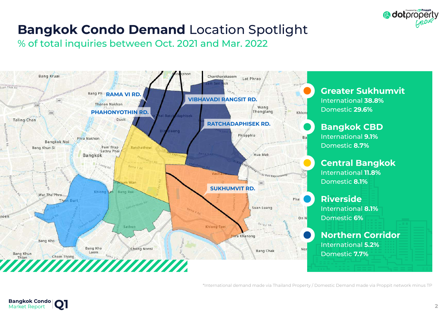

## **Bangkok Condo Demand** Location Spotlight

% of total inquiries between Oct. 2021 and Mar. 2022



\*International demand made via Thailand Property / Domestic Demand made via Proppit network minus TP

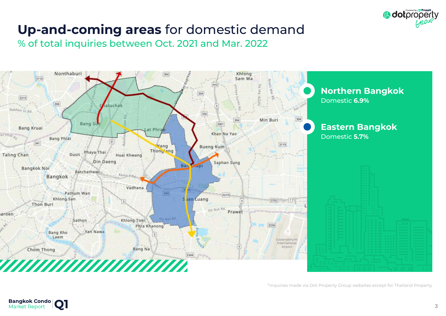

## **Up-and-coming areas** for domestic demand

% of total inquiries between Oct. 2021 and Mar. 2022



\*inquiries made via Dot Property Group websites except for Thailand Property

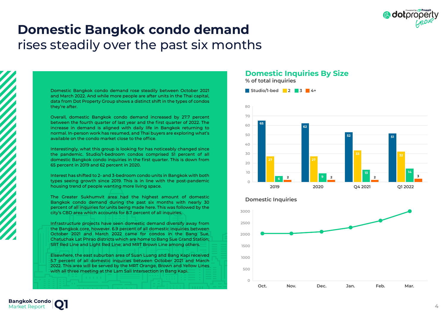

## **Domestic Bangkok condo demand**  rises steadily over the past six months

Domestic Bangkok condo demand rose steadily between October 2021 and March 2022. And while more people are after units in the Thai capital, data from Dot Property Group shows a distinct shift in the types of condos they're after.

Overall, domestic Bangkok condo demand increased by 27.7 percent between the fourth quarter of last year and the first quarter of 2022. The increase in demand is aligned with daily life in Bangkok returning to normal. In-person work has resumed, and Thai buyers are exploring what's available on the condo market close to the office.

Interestingly, what this group is looking for has noticeably changed since the pandemic. Studio/1-bedroom condos comprised 51 percent of all domestic Bangkok condo inquiries in the first quarter. This is down from 65 percent in 2019 and 62 percent in 2020.

Interest has shifted to 2- and 3-bedroom condo units in Bangkok with both types seeing growth since 2019. This is in line with the post-pandemic housing trend of people wanting more living space.

The Greater Sukhumvit area had the highest amount of domestic Bangkok condo demand during the past six months with nearly 30 percent of all inquiries for units being made here. This was followed by the city's CBD area which accounts for 8.7 percent of all inquiries.

Infrastructure projects have seen domestic demand diversify away from the Bangkok core, however. 6.9 percent of all domestic inquiries between October 2021 and March 2022 came for condos in the Bang Sue, Chatuchak Lat Phrao districts which are home to Bang Sue Grand Station; SRT Red Line and Light Red Line; and MRT Brown Line among others.

Elsewhere, the east suburban area of Suan Luang and Bang Kapi received 5.7 percent of all domestic inquiries between October 2021 and March 2022. This area will be served by the MRT Orange, Brown and Yellow Lines with all three meeting at the Lam Sali Intersection in Bang Kapi.

## **Domestic Inquiries By Size**

**% of total inquiries**





#### **Domestic Inquiries**

**Bangkok Condo** Market Report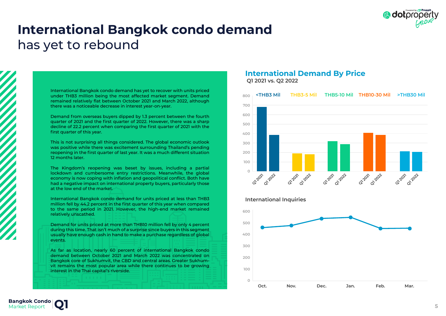

## **International Bangkok condo demand**  has yet to rebound

International Bangkok condo demand has yet to recover with units priced under THB3 million being the most affected market segment. Demand remained relatively flat between October 2021 and March 2022, although there was a noticeable decrease in interest year-on-year.

Demand from overseas buyers dipped by 1.3 percent between the fourth quarter of 2021 and the first quarter of 2022. However, there was a sharp decline of 22.2 percent when comparing the first quarter of 2021 with the first quarter of this year.

This is not surprising all things considered. The global economic outlook was positive while there was excitement surrounding Thailand's pending reopening in the first quarter of last year. It was a much different situation 12 months later.

The Kingdom's reopening was beset by issues, including a partial lockdown and cumbersome entry restrictions. Meanwhile, the global economy is now coping with inflation and geopolitical conflict. Both have had a negative impact on international property buyers, particularly those at the low end of the market.

International Bangkok condo demand for units priced at less than THB3 million fell by 44.2 percent in the first quarter of this year when compared to the same period in 2021. However, the high-end market remained relatively unscathed.

Demand for units priced at more than THB10 million fell by only 4 percent during this time. That isn't much of a surprise since buyers in this segment usually have enough cash in hand to make a purchase regardless of global events.

As far as location, nearly 60 percent of international Bangkok condo demand between October 2021 and March 2022 was concentrated on Bangkok core of Sukhumvit, the CBD and central areas. Greater Sukhumvit remains the most popular area while there continues to be growing interest in the Thai capital's riverside.

#### **International Demand By Price Q1 2021 vs. Q2 2022**



#### **International Inquiries**

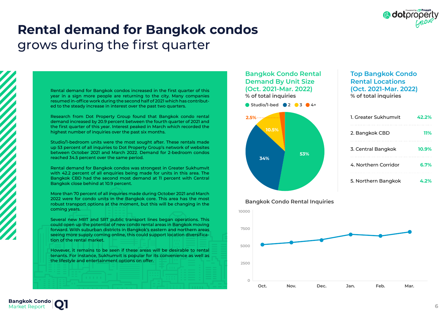

## **Rental demand for Bangkok condos**  grows during the first quarter

Rental demand for Bangkok condos increased in the first quarter of this year in a sign more people are returning to the city. Many companies resumed in-office work during the second half of 2021 which has contributed to the steady increase in interest over the past two quarters.

Research from Dot Property Group found that Bangkok condo rental demand increased by 20.9 percent between the fourth quarter of 2021 and the first quarter of this year. Interest peaked in March which recorded the highest number of inquiries over the past six months.

Studio/1-bedroom units were the most sought after. These rentals made up 53 percent of all inquiries to Dot Property Group's network of websites between October 2021 and March 2022. Demand for 2-bedroom condos reached 34.5 percent over the same period.

Rental demand for Bangkok condos was strongest in Greater Sukhumvit with 42.2 percent of all enquiries being made for units in this area. The Bangkok CBD had the second most demand at 11 percent with Central Bangkok close behind at 10.9 percent.

More than 70 percent of all inquiries made during October 2021 and March 2022 were for condo units in the Bangkok core. This area has the most robust transport options at the moment, but this will be changing in the coming years.

Several new MRT and SRT public transport lines began operations. This could open up the potential of new condo rental areas in Bangkok moving forward. With suburban districts in Bangkok's eastern and northern areas seeing more supply coming online, this could support location diversification of the rental market.

However, it remains to be seen if these areas will be desirable to rental tenants. For instance, Sukhumvit is popular for its convenience as well as the lifestyle and entertainment options on offer.

#### **Bangkok Condo Rental Demand By Unit Size (Oct. 2021-Mar. 2022) % of total inquiries**

**Studio/1-bed 2 3 4+**



### **Top Bangkok Condo Rental Locations (Oct. 2021-Mar. 2022) % of total inquiries**

| 1. Greater Sukhumvit | 42.2% |
|----------------------|-------|
| 2. Bangkok CBD       | 11%   |
| 3. Central Bangkok   | 10.9% |
| 4. Northern Corridor | 6.7%  |
| 5. Northern Bangkok  | 4.2%  |

#### **Bangkok Condo Rental Inquiries**